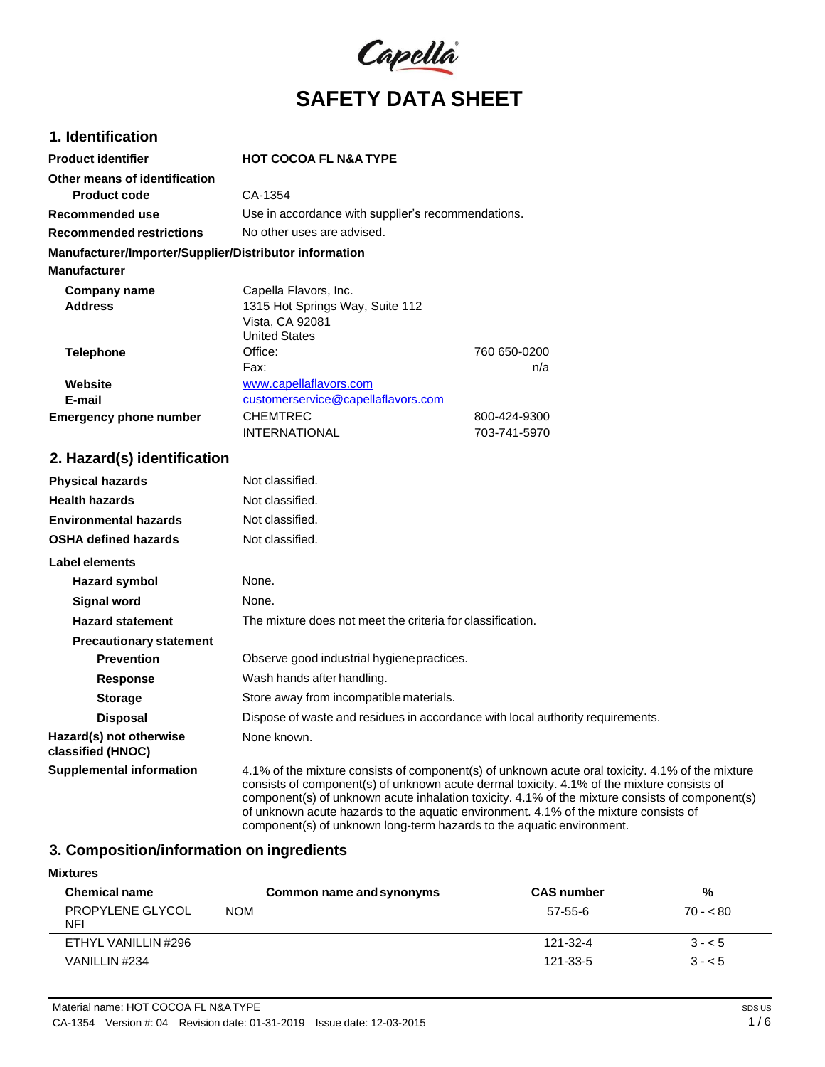

## **1. Identification**

| <b>Product identifier</b>                              | <b>HOT COCOA FL N&amp;A TYPE</b>                   |              |
|--------------------------------------------------------|----------------------------------------------------|--------------|
| Other means of identification                          |                                                    |              |
| <b>Product code</b>                                    | CA-1354                                            |              |
| Recommended use                                        | Use in accordance with supplier's recommendations. |              |
| Recommended restrictions                               | No other uses are advised.                         |              |
| Manufacturer/Importer/Supplier/Distributor information |                                                    |              |
| <b>Manufacturer</b>                                    |                                                    |              |
| Company name                                           | Capella Flavors, Inc.                              |              |
| <b>Address</b>                                         | 1315 Hot Springs Way, Suite 112                    |              |
|                                                        | Vista, CA 92081                                    |              |
|                                                        | <b>United States</b>                               |              |
| <b>Telephone</b>                                       | Office:                                            | 760 650-0200 |
|                                                        | Fax:                                               | n/a          |
| Website                                                | www.capellaflavors.com                             |              |
| E-mail                                                 | customerservice@capellaflavors.com                 |              |
| <b>Emergency phone number</b>                          | <b>CHEMTREC</b>                                    | 800-424-9300 |
|                                                        | <b>INTERNATIONAL</b>                               | 703-741-5970 |

## **2. Hazard(s) identification**

| <b>Physical hazards</b>                      | Not classified.                                                                                                                                                                                                                                                                                                                                                                                                                                                    |  |
|----------------------------------------------|--------------------------------------------------------------------------------------------------------------------------------------------------------------------------------------------------------------------------------------------------------------------------------------------------------------------------------------------------------------------------------------------------------------------------------------------------------------------|--|
| <b>Health hazards</b>                        | Not classified.                                                                                                                                                                                                                                                                                                                                                                                                                                                    |  |
| <b>Environmental hazards</b>                 | Not classified.                                                                                                                                                                                                                                                                                                                                                                                                                                                    |  |
| <b>OSHA defined hazards</b>                  | Not classified.                                                                                                                                                                                                                                                                                                                                                                                                                                                    |  |
| Label elements                               |                                                                                                                                                                                                                                                                                                                                                                                                                                                                    |  |
| Hazard symbol                                | None.                                                                                                                                                                                                                                                                                                                                                                                                                                                              |  |
| <b>Signal word</b>                           | None.                                                                                                                                                                                                                                                                                                                                                                                                                                                              |  |
| <b>Hazard statement</b>                      | The mixture does not meet the criteria for classification.                                                                                                                                                                                                                                                                                                                                                                                                         |  |
| <b>Precautionary statement</b>               |                                                                                                                                                                                                                                                                                                                                                                                                                                                                    |  |
| <b>Prevention</b>                            | Observe good industrial hygiene practices.                                                                                                                                                                                                                                                                                                                                                                                                                         |  |
| <b>Response</b>                              | Wash hands after handling.                                                                                                                                                                                                                                                                                                                                                                                                                                         |  |
| <b>Storage</b>                               | Store away from incompatible materials.                                                                                                                                                                                                                                                                                                                                                                                                                            |  |
| <b>Disposal</b>                              | Dispose of waste and residues in accordance with local authority requirements.                                                                                                                                                                                                                                                                                                                                                                                     |  |
| Hazard(s) not otherwise<br>classified (HNOC) | None known.                                                                                                                                                                                                                                                                                                                                                                                                                                                        |  |
| <b>Supplemental information</b>              | 4.1% of the mixture consists of component(s) of unknown acute oral toxicity. 4.1% of the mixture<br>consists of component(s) of unknown acute dermal toxicity. 4.1% of the mixture consists of<br>component(s) of unknown acute inhalation toxicity. 4.1% of the mixture consists of component(s)<br>of unknown acute hazards to the aquatic environment. 4.1% of the mixture consists of<br>component(s) of unknown long-term hazards to the aquatic environment. |  |

## **3. Composition/information on ingredients**

#### **Mixtures**

| <b>Chemical name</b>    | Common name and synonyms | <b>CAS number</b> | %         |
|-------------------------|--------------------------|-------------------|-----------|
| PROPYLENE GLYCOL<br>NFI | <b>NOM</b>               | 57-55-6           | $70 - 80$ |
| ETHYL VANILLIN #296     |                          | 121-32-4          | $3 - 5$   |
| VANILLIN #234           |                          | 121-33-5          | $3 - 5$   |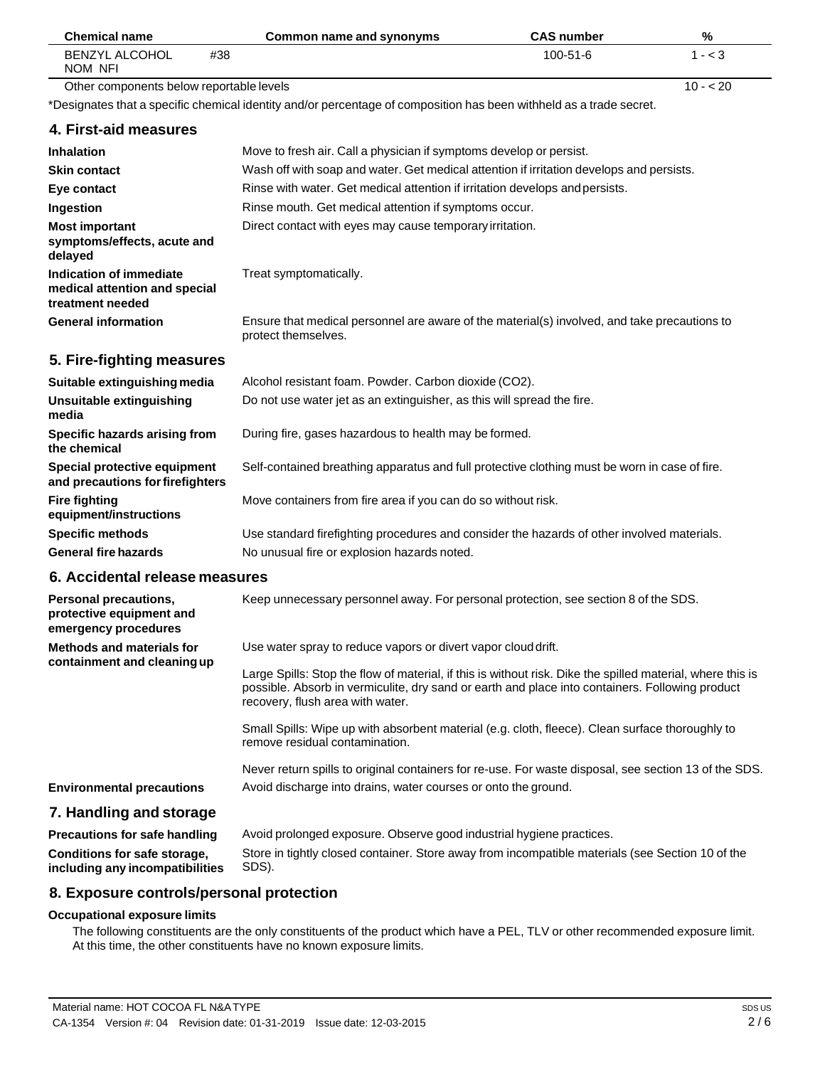| <b>Chemical name</b>                                                             | Common name and synonyms                                                                                                                                                                                                                          | <b>CAS number</b> | %         |
|----------------------------------------------------------------------------------|---------------------------------------------------------------------------------------------------------------------------------------------------------------------------------------------------------------------------------------------------|-------------------|-----------|
| BENZYL ALCOHOL<br>NOM NFI                                                        | #38                                                                                                                                                                                                                                               | 100-51-6          | $1 - 3$   |
| Other components below reportable levels                                         |                                                                                                                                                                                                                                                   |                   | $10 - 20$ |
|                                                                                  | *Designates that a specific chemical identity and/or percentage of composition has been withheld as a trade secret.                                                                                                                               |                   |           |
| 4. First-aid measures                                                            |                                                                                                                                                                                                                                                   |                   |           |
| <b>Inhalation</b>                                                                | Move to fresh air. Call a physician if symptoms develop or persist.                                                                                                                                                                               |                   |           |
| <b>Skin contact</b>                                                              | Wash off with soap and water. Get medical attention if irritation develops and persists.                                                                                                                                                          |                   |           |
| Eye contact                                                                      | Rinse with water. Get medical attention if irritation develops and persists.                                                                                                                                                                      |                   |           |
| Ingestion                                                                        | Rinse mouth. Get medical attention if symptoms occur.                                                                                                                                                                                             |                   |           |
| <b>Most important</b><br>symptoms/effects, acute and<br>delayed                  | Direct contact with eyes may cause temporary irritation.                                                                                                                                                                                          |                   |           |
| Indication of immediate<br>medical attention and special<br>treatment needed     | Treat symptomatically.                                                                                                                                                                                                                            |                   |           |
| <b>General information</b>                                                       | Ensure that medical personnel are aware of the material(s) involved, and take precautions to<br>protect themselves.                                                                                                                               |                   |           |
| 5. Fire-fighting measures                                                        |                                                                                                                                                                                                                                                   |                   |           |
| Suitable extinguishing media                                                     | Alcohol resistant foam. Powder. Carbon dioxide (CO2).                                                                                                                                                                                             |                   |           |
| <b>Unsuitable extinguishing</b><br>media                                         | Do not use water jet as an extinguisher, as this will spread the fire.                                                                                                                                                                            |                   |           |
| Specific hazards arising from<br>the chemical                                    | During fire, gases hazardous to health may be formed.                                                                                                                                                                                             |                   |           |
| Special protective equipment<br>and precautions for firefighters                 | Self-contained breathing apparatus and full protective clothing must be worn in case of fire.                                                                                                                                                     |                   |           |
| <b>Fire fighting</b><br>equipment/instructions                                   | Move containers from fire area if you can do so without risk.                                                                                                                                                                                     |                   |           |
| <b>Specific methods</b>                                                          | Use standard firefighting procedures and consider the hazards of other involved materials.                                                                                                                                                        |                   |           |
| <b>General fire hazards</b>                                                      | No unusual fire or explosion hazards noted.                                                                                                                                                                                                       |                   |           |
| 6. Accidental release measures                                                   |                                                                                                                                                                                                                                                   |                   |           |
| <b>Personal precautions,</b><br>protective equipment and<br>emergency procedures | Keep unnecessary personnel away. For personal protection, see section 8 of the SDS.                                                                                                                                                               |                   |           |
| <b>Methods and materials for</b><br>containment and cleaning up                  | Use water spray to reduce vapors or divert vapor cloud drift.                                                                                                                                                                                     |                   |           |
|                                                                                  | Large Spills: Stop the flow of material, if this is without risk. Dike the spilled material, where this is<br>possible. Absorb in vermiculite, dry sand or earth and place into containers. Following product<br>recovery, flush area with water. |                   |           |
|                                                                                  | Small Spills: Wipe up with absorbent material (e.g. cloth, fleece). Clean surface thoroughly to<br>remove residual contamination.                                                                                                                 |                   |           |
| <b>Environmental precautions</b>                                                 | Never return spills to original containers for re-use. For waste disposal, see section 13 of the SDS.<br>Avoid discharge into drains, water courses or onto the ground.                                                                           |                   |           |
| 7. Handling and storage                                                          |                                                                                                                                                                                                                                                   |                   |           |
| <b>Precautions for safe handling</b>                                             | Avoid prolonged exposure. Observe good industrial hygiene practices.                                                                                                                                                                              |                   |           |
| Conditions for safe storage,<br>including any incompatibilities                  | Store in tightly closed container. Store away from incompatible materials (see Section 10 of the<br>SDS).                                                                                                                                         |                   |           |
| 8. Exposure controls/personal protection                                         |                                                                                                                                                                                                                                                   |                   |           |

### **Occupational exposure limits**

The following constituents are the only constituents of the product which have a PEL, TLV or other recommended exposure limit. At this time, the other constituents have no known exposure limits.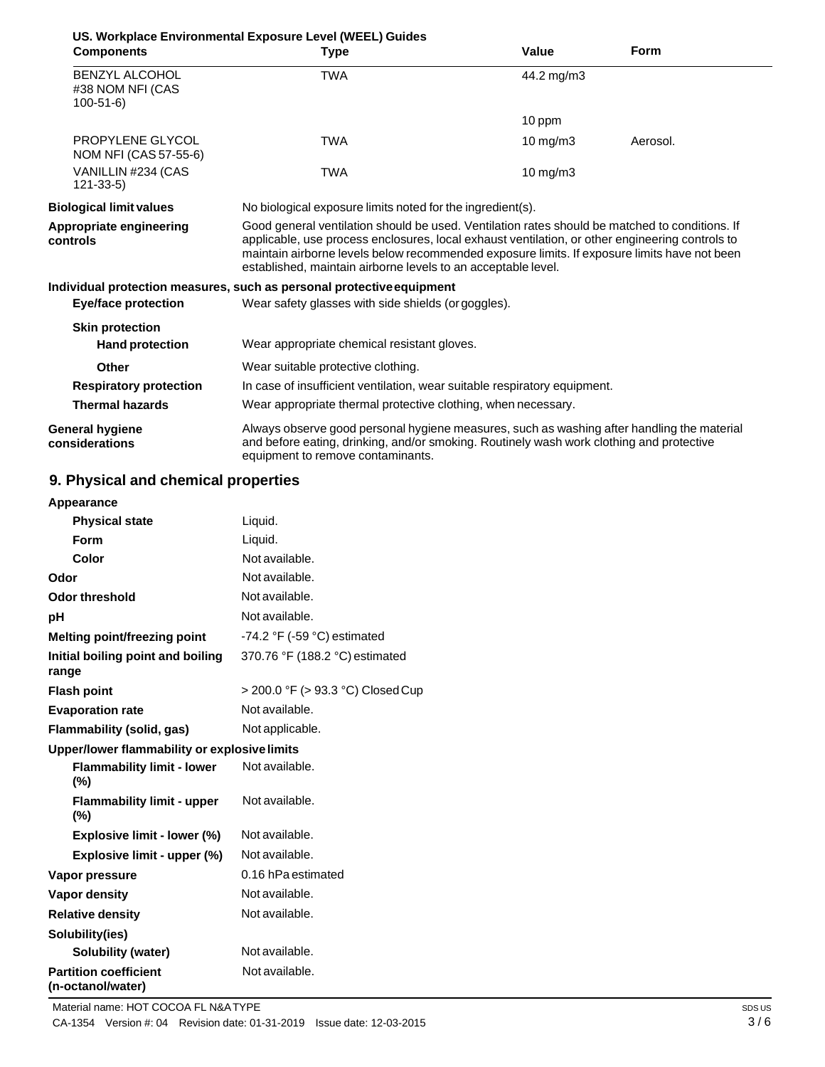|                                                             | US. Workplace Environmental Exposure Level (WEEL) Guides                                                                                                                                                                                                                                                                                                           |               |             |
|-------------------------------------------------------------|--------------------------------------------------------------------------------------------------------------------------------------------------------------------------------------------------------------------------------------------------------------------------------------------------------------------------------------------------------------------|---------------|-------------|
| <b>Components</b>                                           | Type                                                                                                                                                                                                                                                                                                                                                               | Value         | <b>Form</b> |
| <b>BENZYL ALCOHOL</b><br>#38 NOM NFI (CAS<br>$100 - 51 - 6$ | <b>TWA</b>                                                                                                                                                                                                                                                                                                                                                         | 44.2 mg/m3    |             |
|                                                             |                                                                                                                                                                                                                                                                                                                                                                    | 10 ppm        |             |
| PROPYLENE GLYCOL<br>NOM NFI (CAS 57-55-6)                   | <b>TWA</b>                                                                                                                                                                                                                                                                                                                                                         | $10$ mg/m $3$ | Aerosol.    |
| VANILLIN #234 (CAS<br>$121 - 33 - 5$                        | TWA                                                                                                                                                                                                                                                                                                                                                                | $10$ mg/m $3$ |             |
| <b>Biological limit values</b>                              | No biological exposure limits noted for the ingredient(s).                                                                                                                                                                                                                                                                                                         |               |             |
| Appropriate engineering<br>controls                         | Good general ventilation should be used. Ventilation rates should be matched to conditions. If<br>applicable, use process enclosures, local exhaust ventilation, or other engineering controls to<br>maintain airborne levels below recommended exposure limits. If exposure limits have not been<br>established, maintain airborne levels to an acceptable level. |               |             |
|                                                             | Individual protection measures, such as personal protective equipment                                                                                                                                                                                                                                                                                              |               |             |
| <b>Eye/face protection</b>                                  | Wear safety glasses with side shields (or goggles).                                                                                                                                                                                                                                                                                                                |               |             |
| <b>Skin protection</b>                                      |                                                                                                                                                                                                                                                                                                                                                                    |               |             |
| <b>Hand protection</b>                                      | Wear appropriate chemical resistant gloves.                                                                                                                                                                                                                                                                                                                        |               |             |
| Other                                                       | Wear suitable protective clothing.                                                                                                                                                                                                                                                                                                                                 |               |             |
| <b>Respiratory protection</b>                               | In case of insufficient ventilation, wear suitable respiratory equipment.                                                                                                                                                                                                                                                                                          |               |             |
| <b>Thermal hazards</b>                                      | Wear appropriate thermal protective clothing, when necessary.                                                                                                                                                                                                                                                                                                      |               |             |
| General hygiene<br>considerations                           | Always observe good personal hygiene measures, such as washing after handling the material<br>and before eating, drinking, and/or smoking. Routinely wash work clothing and protective<br>equipment to remove contaminants.                                                                                                                                        |               |             |

## **9. Physical and chemical properties**

| Appearance                                        |                                               |
|---------------------------------------------------|-----------------------------------------------|
| <b>Physical state</b>                             | Liquid.                                       |
| Form                                              | Liquid.                                       |
| Color                                             | Not available.                                |
| Odor                                              | Not available.                                |
| <b>Odor threshold</b>                             | Not available.                                |
| рH                                                | Not available.                                |
| Melting point/freezing point                      | -74.2 $\degree$ F (-59 $\degree$ C) estimated |
| Initial boiling point and boiling<br>range        | 370.76 °F (188.2 °C) estimated                |
| <b>Flash point</b>                                | > 200.0 °F (> 93.3 °C) Closed Cup             |
| <b>Evaporation rate</b>                           | Not available.                                |
| Flammability (solid, gas)                         | Not applicable.                               |
| Upper/lower flammability or explosive limits      |                                               |
| <b>Flammability limit - lower</b><br>(%)          | Not available.                                |
| <b>Flammability limit - upper</b><br>$(\%)$       | Not available.                                |
| Explosive limit - lower (%)                       | Not available.                                |
| Explosive limit - upper (%)                       | Not available.                                |
| Vapor pressure                                    | 0.16 hPa estimated                            |
| Vapor density                                     | Not available.                                |
| <b>Relative density</b>                           | Not available.                                |
| Solubility(ies)                                   |                                               |
| Solubility (water)                                | Not available.                                |
| <b>Partition coefficient</b><br>(n-octanol/water) | Not available.                                |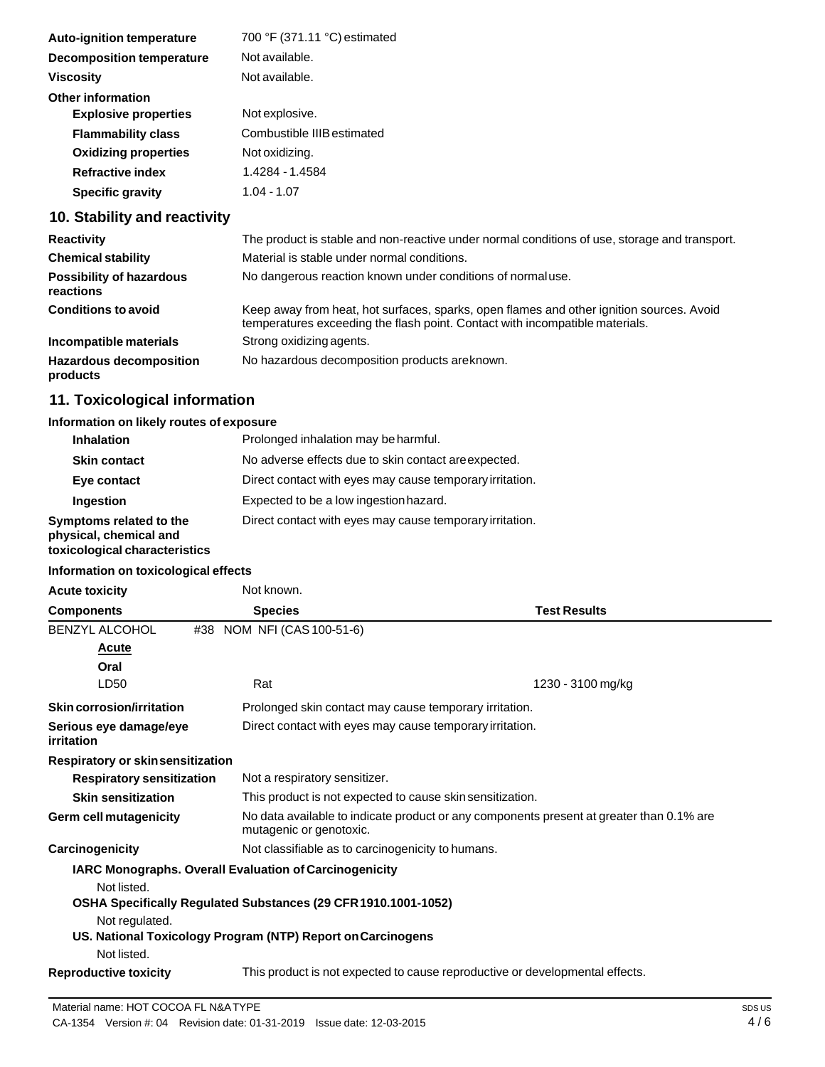| <b>Auto-ignition temperature</b> | 700 °F (371.11 °C) estimated |
|----------------------------------|------------------------------|
| Decomposition temperature        | Not available.               |
| Viscosity                        | Not available.               |
| <b>Other information</b>         |                              |
| <b>Explosive properties</b>      | Not explosive.               |
| <b>Flammability class</b>        | Combustible IIIB estimated   |
| <b>Oxidizing properties</b>      | Not oxidizing.               |
| <b>Refractive index</b>          | 1.4284 - 1.4584              |
| <b>Specific gravity</b>          | $1.04 - 1.07$                |
|                                  |                              |

# **10. Stability and reactivity**

| <b>Reactivity</b>                            | The product is stable and non-reactive under normal conditions of use, storage and transport.                                                                            |
|----------------------------------------------|--------------------------------------------------------------------------------------------------------------------------------------------------------------------------|
| <b>Chemical stability</b>                    | Material is stable under normal conditions.                                                                                                                              |
| <b>Possibility of hazardous</b><br>reactions | No dangerous reaction known under conditions of normaluse.                                                                                                               |
| <b>Conditions to avoid</b>                   | Keep away from heat, hot surfaces, sparks, open flames and other ignition sources. Avoid<br>temperatures exceeding the flash point. Contact with incompatible materials. |
| Incompatible materials                       | Strong oxidizing agents.                                                                                                                                                 |
| <b>Hazardous decomposition</b><br>products   | No hazardous decomposition products areknown.                                                                                                                            |

## **11. Toxicological information**

## **Information on likely routes of exposure**

| <b>Inhalation</b>                                 | Prolonged inhalation may be harmful.                     |
|---------------------------------------------------|----------------------------------------------------------|
| <b>Skin contact</b>                               | No adverse effects due to skin contact are expected.     |
| Eye contact                                       | Direct contact with eyes may cause temporary irritation. |
| Ingestion                                         | Expected to be a low ingestion hazard.                   |
| Symptoms related to the<br>physical, chemical and | Direct contact with eyes may cause temporary irritation. |

**toxicological characteristics**

### **Information on toxicological effects**

| <b>Acute toxicity</b>                | Not known.                                                     |                                                                                          |  |
|--------------------------------------|----------------------------------------------------------------|------------------------------------------------------------------------------------------|--|
| <b>Components</b>                    | <b>Species</b>                                                 | <b>Test Results</b>                                                                      |  |
| <b>BENZYL ALCOHOL</b>                | #38 NOM NFI (CAS 100-51-6)                                     |                                                                                          |  |
| <b>Acute</b>                         |                                                                |                                                                                          |  |
| Oral                                 |                                                                |                                                                                          |  |
| LD50                                 | Rat                                                            | 1230 - 3100 mg/kg                                                                        |  |
| Skin corrosion/irritation            |                                                                | Prolonged skin contact may cause temporary irritation.                                   |  |
| Serious eye damage/eye<br>irritation |                                                                | Direct contact with eyes may cause temporary irritation.                                 |  |
| Respiratory or skin sensitization    |                                                                |                                                                                          |  |
| <b>Respiratory sensitization</b>     | Not a respiratory sensitizer.                                  |                                                                                          |  |
| <b>Skin sensitization</b>            |                                                                | This product is not expected to cause skin sensitization.                                |  |
| Germ cell mutagenicity               | mutagenic or genotoxic.                                        | No data available to indicate product or any components present at greater than 0.1% are |  |
| Carcinogenicity                      |                                                                | Not classifiable as to carcinogenicity to humans.                                        |  |
|                                      | <b>IARC Monographs. Overall Evaluation of Carcinogenicity</b>  |                                                                                          |  |
| Not listed.                          |                                                                |                                                                                          |  |
|                                      | OSHA Specifically Regulated Substances (29 CFR 1910.1001-1052) |                                                                                          |  |
| Not regulated.                       |                                                                |                                                                                          |  |
| Not listed.                          | US. National Toxicology Program (NTP) Report on Carcinogens    |                                                                                          |  |
|                                      |                                                                |                                                                                          |  |
| <b>Reproductive toxicity</b>         |                                                                | This product is not expected to cause reproductive or developmental effects.             |  |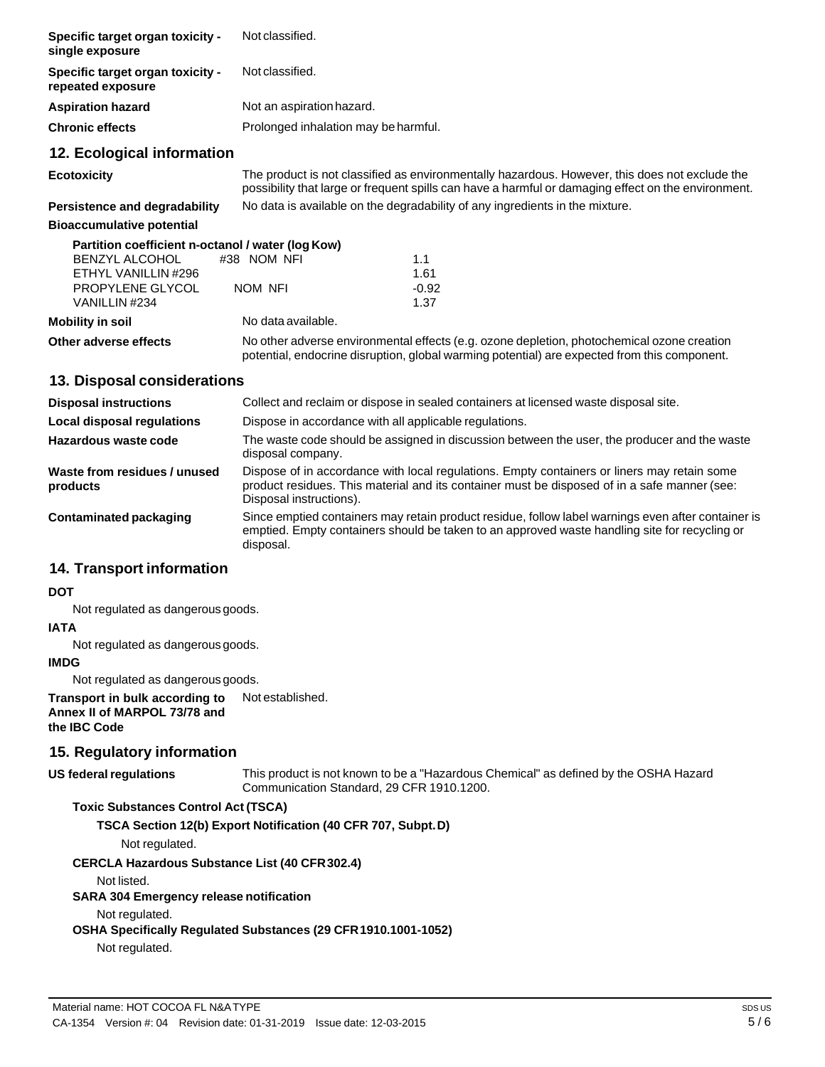| <b>Specific target organ toxicity -</b><br>single exposure                                                                             | Not classified.                                                                                                                                                                                       |                                |
|----------------------------------------------------------------------------------------------------------------------------------------|-------------------------------------------------------------------------------------------------------------------------------------------------------------------------------------------------------|--------------------------------|
| <b>Specific target organ toxicity -</b><br>repeated exposure                                                                           | Not classified.                                                                                                                                                                                       |                                |
| <b>Aspiration hazard</b>                                                                                                               | Not an aspiration hazard.                                                                                                                                                                             |                                |
| <b>Chronic effects</b>                                                                                                                 | Prolonged inhalation may be harmful.                                                                                                                                                                  |                                |
| 12. Ecological information                                                                                                             |                                                                                                                                                                                                       |                                |
| Ecotoxicity                                                                                                                            | The product is not classified as environmentally hazardous. However, this does not exclude the<br>possibility that large or frequent spills can have a harmful or damaging effect on the environment. |                                |
| Persistence and degradability                                                                                                          | No data is available on the degradability of any ingredients in the mixture.                                                                                                                          |                                |
| Bioaccumulative potential                                                                                                              |                                                                                                                                                                                                       |                                |
| Partition coefficient n-octanol / water (log Kow)<br><b>BENZYL ALCOHOL</b><br>ETHYL VANILLIN #296<br>PROPYLENE GLYCOL<br>VANILLIN #234 | #38 NOM NFI<br>NOM NFI                                                                                                                                                                                | 1.1<br>1.61<br>$-0.92$<br>1.37 |
| Mobility in soil                                                                                                                       | No data available.                                                                                                                                                                                    |                                |
| Other adverse effects                                                                                                                  | No other adverse environmental effects (e.g. ozone depletion, photochemical ozone creation<br>potential, endocrine disruption, global warming potential) are expected from this component.            |                                |
| 13. Disposal considerations                                                                                                            |                                                                                                                                                                                                       |                                |
| <b>Disposal instructions</b>                                                                                                           | Collect and reclaim or dispose in sealed containers at licensed waste disposal site.                                                                                                                  |                                |
|                                                                                                                                        |                                                                                                                                                                                                       |                                |

| PRODUCE IN REPORT OF THE                 | <u>OUNOU MINTONAMIT OF MODOUU III OUMOU OUTRAINUID ALIIUUTIOUU MAURU MIODUUM UIRU.</u>                                                                                                                                 |
|------------------------------------------|------------------------------------------------------------------------------------------------------------------------------------------------------------------------------------------------------------------------|
| Local disposal regulations               | Dispose in accordance with all applicable regulations.                                                                                                                                                                 |
| Hazardous waste code                     | The waste code should be assigned in discussion between the user, the producer and the waste<br>disposal company.                                                                                                      |
| Waste from residues / unused<br>products | Dispose of in accordance with local regulations. Empty containers or liners may retain some<br>product residues. This material and its container must be disposed of in a safe manner (see:<br>Disposal instructions). |
| Contaminated packaging                   | Since emptied containers may retain product residue, follow label warnings even after container is<br>emptied. Empty containers should be taken to an approved waste handling site for recycling or<br>disposal.       |

## **14. Transport information**

#### **DOT**

Not regulated as dangerous goods.

### **IATA**

Not regulated as dangerous goods.

#### **IMDG**

Not regulated as dangerous goods.

**Transport in bulk according to Annex II of MARPOL 73/78 and the IBC Code** Not established.

## **15. Regulatory information**

### **US** federal regulations

This product is not known to be a "Hazardous Chemical" as defined by the OSHA Hazard Communication Standard, 29 CFR 1910.1200.

## **Toxic Substances Control Act (TSCA) TSCA Section 12(b) Export Notification (40 CFR 707, Subpt.D)** Not regulated. **CERCLA Hazardous Substance List (40 CFR302.4)** Not listed. **SARA 304 Emergency release notification** Not regulated. **OSHA Specifically Regulated Substances (29 CFR1910.1001-1052)** Not regulated.